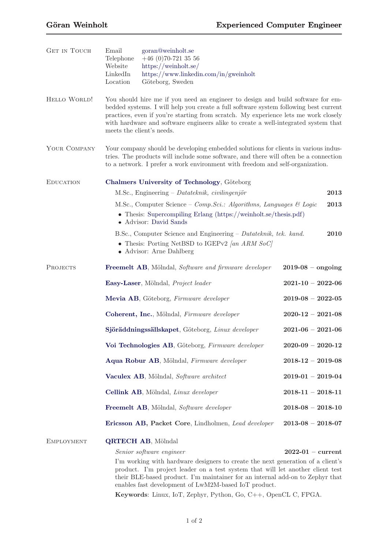| <b>GET IN TOUCH</b> | Email<br>Telephone<br>Website<br>LinkedIn<br>Location                                                                                                                                                                                                                                                                                                                             | goran@weinholt.se<br>$+46$ (0)70-721 35 56<br>https://weinholt.se/<br>https://www.linkedin.com/in/gweinholt<br>Göteborg, Sweden |                         |
|---------------------|-----------------------------------------------------------------------------------------------------------------------------------------------------------------------------------------------------------------------------------------------------------------------------------------------------------------------------------------------------------------------------------|---------------------------------------------------------------------------------------------------------------------------------|-------------------------|
| HELLO WORLD!        | You should hire me if you need an engineer to design and build software for em-<br>bedded systems. I will help you create a full software system following best current<br>practices, even if you're starting from scratch. My experience lets me work closely<br>with hardware and software engineers alike to create a well-integrated system that<br>meets the client's needs. |                                                                                                                                 |                         |
| YOUR COMPANY        | Your company should be developing embedded solutions for clients in various indus-<br>tries. The products will include some software, and there will often be a connection<br>to a network. I prefer a work environment with freedom and self-organization.                                                                                                                       |                                                                                                                                 |                         |
| <b>EDUCATION</b>    | Chalmers University of Technology, Göteborg                                                                                                                                                                                                                                                                                                                                       |                                                                                                                                 |                         |
|                     |                                                                                                                                                                                                                                                                                                                                                                                   | $M.Sc.,$ Engineering – Datateknik, civilingenjör                                                                                | 2013                    |
|                     | M.Sc., Computer Science – $Comp.Sci.:$ Algorithms, Languages & Logic<br>2013<br>• Thesis: Supercompiling Erlang (https://weinholt.se/thesis.pdf)<br>• Advisor: David Sands                                                                                                                                                                                                        |                                                                                                                                 |                         |
|                     | 2010<br>B.Sc., Computer Science and Engineering – Datateknik, tek. kand.<br>• Thesis: Porting NetBSD to IGEPv2 [an ARM SoC]<br>• Advisor: Arne Dahlberg                                                                                                                                                                                                                           |                                                                                                                                 |                         |
| PROJECTS            |                                                                                                                                                                                                                                                                                                                                                                                   | <b>Freemelt AB</b> , Mölndal, Software and firmware developer                                                                   | $2019-08$ – ongoing     |
|                     |                                                                                                                                                                                                                                                                                                                                                                                   | Easy-Laser, Mölndal, Project leader                                                                                             | $2021 - 10 - 2022 - 06$ |
|                     |                                                                                                                                                                                                                                                                                                                                                                                   | Mevia AB, Göteborg, Firmware developer                                                                                          | $2019 - 08 - 2022 - 05$ |
|                     |                                                                                                                                                                                                                                                                                                                                                                                   | Coherent, Inc., Mölndal, Firmware developer                                                                                     | $2020 - 12 - 2021 - 08$ |
|                     |                                                                                                                                                                                                                                                                                                                                                                                   | Sjöräddningssällskapet, Göteborg, Linux developer                                                                               | $2021 - 06 - 2021 - 06$ |
|                     |                                                                                                                                                                                                                                                                                                                                                                                   | Voi Technologies AB, Göteborg, Firmware developer                                                                               | $2020 - 09 - 2020 - 12$ |
|                     |                                                                                                                                                                                                                                                                                                                                                                                   | Aqua Robur AB, Mölndal, Firmware developer                                                                                      | $2018 - 12 - 2019 - 08$ |
|                     |                                                                                                                                                                                                                                                                                                                                                                                   | Vaculex AB, Mölndal, Software architect                                                                                         | $2019 - 01 - 2019 - 04$ |
|                     |                                                                                                                                                                                                                                                                                                                                                                                   | Cellink AB, Mölndal, Linux developer                                                                                            | $2018 - 11 - 2018 - 11$ |
|                     |                                                                                                                                                                                                                                                                                                                                                                                   | <b>Freemelt AB</b> , Mölndal, Software developer                                                                                | $2018 - 08 - 2018 - 10$ |
|                     |                                                                                                                                                                                                                                                                                                                                                                                   | Ericsson AB, Packet Core, Lindholmen, Lead developer                                                                            | $2013 - 08 - 2018 - 07$ |
| <b>EMPLOYMENT</b>   |                                                                                                                                                                                                                                                                                                                                                                                   | <b>QRTECH AB, Mölndal</b>                                                                                                       |                         |
|                     |                                                                                                                                                                                                                                                                                                                                                                                   | Senior software engineer                                                                                                        | $2022-01$ – current     |
|                     | I'm working with hardware designers to create the next generation of a client's<br>product. I'm project leader on a test system that will let another client test<br>their BLE-based product. I'm maintainer for an internal add-on to Zephyr that<br>enables fast development of LwM2M-based IoT product.                                                                        |                                                                                                                                 |                         |

Keywords: Linux, IoT, Zephyr, Python, Go, C++, OpenCL C, FPGA.